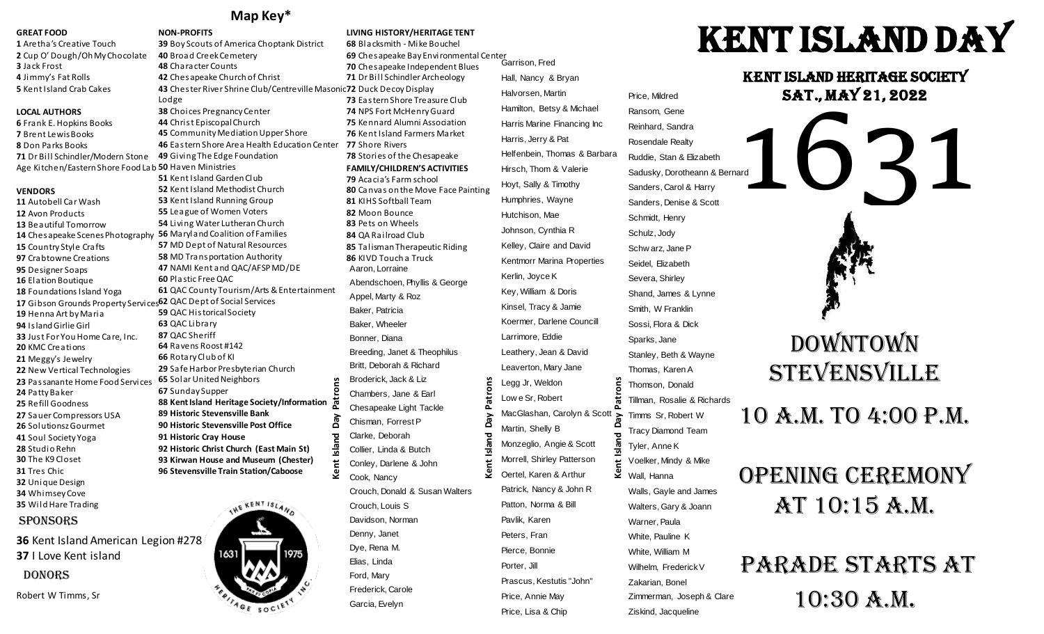### **Map Key\***

#### **GREAT FOOD**

 Aretha's Creative Touch Cup O' Dough/Oh My Chocolate Jack Frost Jimmy's Fat Rolls Kent Island Crab Cakes

#### **LOCAL AUTHORS**

 Frank E. Hopkins Books Brent Lewis Books Don Parks Books Dr Bill Schindler/Modern Stone

#### **VENDORS**

Autobell Car Wash Avon Products Beautiful Tomorrow Country Style Crafts Crabtowne Creations Designer Soaps Elation Boutique Foundations Island Yoga Gibson Grounds Property Services 62 QAC Dept of Social Services Henna Art by Maria Island Girlie Girl Just For You Home Care, Inc. KMC Creations Meggy's Jewelry New Vertical Technologies Passanante Home Food Services **65** Solar United Neighbors Patty Baker Refill Goodness Sauer Compressors USA SolutionszGourmet Soul Society Yoga Studio Rehn The K9 Closet Tres Chic Unique Design Whimsey Cove Wild Hare Trading

### **SPONSORS**

**36** Kent Island American Legion #278 **37** I Love Kent island DONORS

Robert W Timms, Sr

**NON-PROFITS** Boy Scouts of America Choptank District Broad Creek Cemetery Character Counts Chesapeake Church of Christ Chester River Shrine Club/Centreville Masonic **72** Duck Decoy Display Lodge Choices Pregnancy Center Christ Episcopal Church Community Mediation Upper Shore Eastern Shore Area Health Education Center Giving The Edge Foundation Age Kitchen/Eastern Shore Food Lab **50** Haven Ministries Kent Island Garden Club Kent Island Methodist Church Kent Island Running Group League of Women Voters Living Water Lutheran Church Chesapeake Scenes Photography **56** Maryland Coalition of Families MD Dept of Natural Resources MD Transportation Authority NAMI Kent and QAC/AFSP MD/DE Plastic Free QAC QAC County Tourism/Arts & Entertainment QAC Historical Society QAC Library QAC Sheriff Ravens Roost #142 Rotary Club of KI Safe Harbor Presbyterian Church rons **Kent Island Day Patrons** Sunday Supper **88 Kent Island Heritage Society/Information Historic Stevensville Bank** VeQ **Historic Stevensville Post Office Historic Cray House** ᅙ slar **Historic Christ Church (East Main St) 93 Kirwan House and Museum (Chester)** Kent **Stevensville Train Station/Caboose**



**LIVING HISTORY/HERITAGE TENT 68** Blacksmith - Mike Bouchel **69** Chesapeake Bay Environmental Center Garrison, Fred **70** Chesapeake Independent Blues **71** Dr Bill Schindler Archeology **73** Eastern Shore Treasure Club **74** NPS Fort McHenry Guard **75** Kennard Alumni Association **76** Kent Island Farmers Market **77** Shore Rivers **78** Stories of the Chesapeake **FAMILY/CHILDREN'S ACTIVITIES 79** Acacia's Farm school **80** Canvas on the Move Face Painting **81** KIHS Softball Team **82** Moon Bounce **83** Pets on Wheels **84** QA Railroad Club **85** Talisman Therapeutic Riding **86** KIVD Touch a Truck Aaron, Lorraine Abendschoen, Phyllis & George Appel, Marty & Roz Baker, Patricia Baker, Wheeler Bonner, Diana Breeding, Janet & Theophilus Britt, Deborah & Richard Broderick, Jack & Liz Patrons **Kent Island Day Patrons** Chambers, Jane & Earl Chesapeake Light Tackle Day Chisman, Forrest P Clarke, Deborah Island Collier, Linda & Butch Conley, Darlene & John ତ୍ର Cook, Nancy Crouch, Donald & Susan Walters Crouch, Louis S Davidson, Norman Denny, Janet Dye, Rena M. Elias, Linda Ford, Mary Frederick, Carole Garcia, Evelyn

Hall, Nancy & Bryan Halvorsen, Martin Hamilton, Betsy & Michael Harris Marine Financing Inc Harris, Jerry & Pat Helfenbein, Thomas & Barbara Hirsch, Thom & Valerie Hoyt, Sally & Timothy Humphries, Wayne Hutchison, Mae Johnson, Cynthia R Kelley, Claire and David Kentmorr Marina Properties Kerlin, Joyce K Key, William & Doris Kinsel, Tracy & Jamie Koermer, Darlene Councill Larrimore, Eddie Leathery, Jean & David Leaverton, Mary Jane Legg Jr, Weldon Low e Sr, Robert MacGlashan, Carolyn & Scott Martin, Shelly B Monzeglio, Angie & Scott Morrell, Shirley Patterson Oertel, Karen & Arthur Patrick, Nancy & John R Patton, Norma & Bill Pavlik, Karen Peters, Fran Pierce, Bonnie Porter, Jill Prascus, Kestutis "John" Price, Annie May Price, Lisa & Chip Ziskind, Jacqueline **Kent Island Day Patrons**

### Price, Mildred Ransom, Gene Reinhard, Sandra Rosendale Realty Ruddie, Stan & Elizabeth Sadusky, Dorotheann & Bernard Sanders, Carol & Harry Sanders, Denise & Scott Schmidt, Henry Schulz, Jody Schw arz, Jane P Seidel, Elizabeth Severa, Shirley Shand, James & Lynne Smith, W Franklin Sossi, Flora & Dick Sparks, Jane Stanley, Beth & Wayne Thomas, Karen A Thomson, Donald Tillman, Rosalie & Richards Timms Sr, Robert W Tracy Diamond Team Tyler, Anne K Voelker, Mindy & Mike  $\overline{\mathbf{L}}$  Wall, Hanna Walls, Gayle and James Walters, Gary & Joann Warner, Paula White, Pauline K White, William M Wilhelm, Frederick V Zakarian, Bonel Zimmerman, Joseph & Clare

# Kent Island Day

Kent Island Heritage Society Sat., May 21, 2022



## 10 a.m. to 4:00 p.m.

# OPENING CEREMONY at 10:15 a.m.

# Parade Starts at 10:30 a.m.